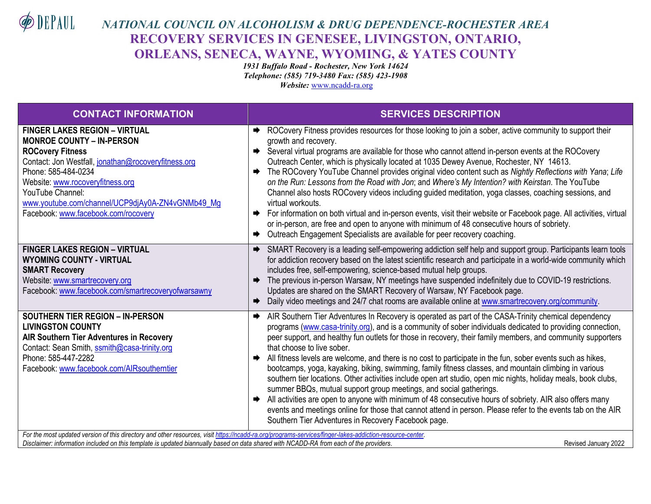DEPAUL

## *NATIONAL COUNCIL ON ALCOHOLISM & DRUG DEPENDENCE-ROCHESTER AREA* **RECOVERY SERVICES IN GENESEE, LIVINGSTON, ONTARIO, ORLEANS, SENECA, WAYNE, WYOMING, & YATES COUNTY**

*1931 Buffalo Road - Rochester, New York 14624 Telephone: (585) 719-3480 Fax: (585) 423-1908 Website:* [www.ncadd-ra.org](http://www.ncadd-ra.org/)

| <b>CONTACT INFORMATION</b>                                                                                                                                                                                                                                                                                                           | <b>SERVICES DESCRIPTION</b>                                                                                                                                                                                                                                                                                                                                                                                                                                                                                                                                                                                                                                                                                                                                                                                                                                                                                                                                                                                                                                                                                |  |  |
|--------------------------------------------------------------------------------------------------------------------------------------------------------------------------------------------------------------------------------------------------------------------------------------------------------------------------------------|------------------------------------------------------------------------------------------------------------------------------------------------------------------------------------------------------------------------------------------------------------------------------------------------------------------------------------------------------------------------------------------------------------------------------------------------------------------------------------------------------------------------------------------------------------------------------------------------------------------------------------------------------------------------------------------------------------------------------------------------------------------------------------------------------------------------------------------------------------------------------------------------------------------------------------------------------------------------------------------------------------------------------------------------------------------------------------------------------------|--|--|
| <b>FINGER LAKES REGION - VIRTUAL</b><br><b>MONROE COUNTY - IN-PERSON</b><br><b>ROCovery Fitness</b><br>Contact: Jon Westfall, jonathan@rocoveryfitness.org<br>Phone: 585-484-0234<br>Website: www.rocoveryfitness.org<br>YouTube Channel:<br>www.youtube.com/channel/UCP9djAy0A-ZN4vGNMb49_Mg<br>Facebook: www.facebook.com/rocovery | ROCovery Fitness provides resources for those looking to join a sober, active community to support their<br>growth and recovery.<br>Several virtual programs are available for those who cannot attend in-person events at the ROCovery<br>Outreach Center, which is physically located at 1035 Dewey Avenue, Rochester, NY 14613.<br>The ROCovery YouTube Channel provides original video content such as Nightly Reflections with Yana; Life<br>on the Run: Lessons from the Road with Jon; and Where's My Intention? with Keirstan. The YouTube<br>Channel also hosts ROCovery videos including guided meditation, yoga classes, coaching sessions, and<br>virtual workouts.<br>For information on both virtual and in-person events, visit their website or Facebook page. All activities, virtual<br>or in-person, are free and open to anyone with minimum of 48 consecutive hours of sobriety.<br>Outreach Engagement Specialists are available for peer recovery coaching.<br>$\Rightarrow$                                                                                                        |  |  |
| <b>FINGER LAKES REGION - VIRTUAL</b><br><b>WYOMING COUNTY - VIRTUAL</b><br><b>SMART Recovery</b><br>Website: www.smartrecovery.org<br>Facebook: www.facebook.com/smartrecoveryofwarsawny                                                                                                                                             | SMART Recovery is a leading self-empowering addiction self help and support group. Participants learn tools<br>$\Rightarrow$<br>for addiction recovery based on the latest scientific research and participate in a world-wide community which<br>includes free, self-empowering, science-based mutual help groups.<br>The previous in-person Warsaw, NY meetings have suspended indefinitely due to COVID-19 restrictions.<br>➡<br>Updates are shared on the SMART Recovery of Warsaw, NY Facebook page.<br>Daily video meetings and 24/7 chat rooms are available online at www.smartrecovery.org/community.<br>➡                                                                                                                                                                                                                                                                                                                                                                                                                                                                                        |  |  |
| <b>SOUTHERN TIER REGION - IN-PERSON</b><br><b>LIVINGSTON COUNTY</b><br><b>AIR Southern Tier Adventures in Recovery</b><br>Contact: Sean Smith, ssmith@casa-trinity.org<br>Phone: 585-447-2282<br>Facebook: www.facebook.com/AIRsoutherntier                                                                                          | AIR Southern Tier Adventures In Recovery is operated as part of the CASA-Trinity chemical dependency<br>➡<br>programs (www.casa-trinity.org), and is a community of sober individuals dedicated to providing connection,<br>peer support, and healthy fun outlets for those in recovery, their family members, and community supporters<br>that choose to live sober.<br>All fitness levels are welcome, and there is no cost to participate in the fun, sober events such as hikes,<br>$\Rightarrow$<br>bootcamps, yoga, kayaking, biking, swimming, family fitness classes, and mountain climbing in various<br>southern tier locations. Other activities include open art studio, open mic nights, holiday meals, book clubs,<br>summer BBQs, mutual support group meetings, and social gatherings.<br>All activities are open to anyone with minimum of 48 consecutive hours of sobriety. AIR also offers many<br>$\Rightarrow$<br>events and meetings online for those that cannot attend in person. Please refer to the events tab on the AIR<br>Southern Tier Adventures in Recovery Facebook page. |  |  |
| For the most updated version of this directory and other resources, visit https://ncadd-ra.org/programs-services/finger-lakes-addiction-resource-center.<br>Disclaimer: information included on this template is updated biannually based on data shared with NCADD-RA from each of the providers.<br>Revised January 2022           |                                                                                                                                                                                                                                                                                                                                                                                                                                                                                                                                                                                                                                                                                                                                                                                                                                                                                                                                                                                                                                                                                                            |  |  |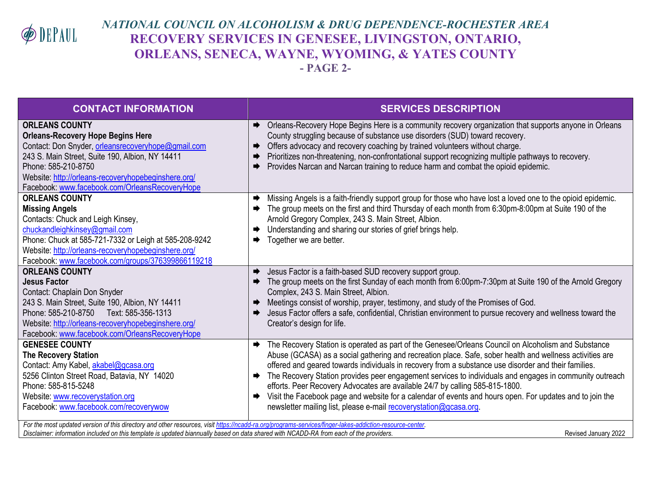

## *NATIONAL COUNCIL ON ALCOHOLISM & DRUG DEPENDENCE-ROCHESTER AREA* **RECOVERY SERVICES IN GENESEE, LIVINGSTON, ONTARIO, ORLEANS, SENECA, WAYNE, WYOMING, & YATES COUNTY - PAGE 2-**

| <b>CONTACT INFORMATION</b>                                                                                                                                                                                                                                                                                                                                                                                   | <b>SERVICES DESCRIPTION</b>                                                                                                                                                                                                                                                                                                                                                                                                                                                                                                                                                                                                                                                                                                           |
|--------------------------------------------------------------------------------------------------------------------------------------------------------------------------------------------------------------------------------------------------------------------------------------------------------------------------------------------------------------------------------------------------------------|---------------------------------------------------------------------------------------------------------------------------------------------------------------------------------------------------------------------------------------------------------------------------------------------------------------------------------------------------------------------------------------------------------------------------------------------------------------------------------------------------------------------------------------------------------------------------------------------------------------------------------------------------------------------------------------------------------------------------------------|
| <b>ORLEANS COUNTY</b><br><b>Orleans-Recovery Hope Begins Here</b><br>Contact: Don Snyder, orleansrecoveryhope@gmail.com<br>243 S. Main Street, Suite 190, Albion, NY 14411<br>Phone: 585-210-8750<br>Website: http://orleans-recoveryhopebeginshere.org/<br>Facebook: www.facebook.com/OrleansRecoveryHope                                                                                                   | Orleans-Recovery Hope Begins Here is a community recovery organization that supports anyone in Orleans<br>➡<br>County struggling because of substance use disorders (SUD) toward recovery.<br>Offers advocacy and recovery coaching by trained volunteers without charge.<br>➡<br>Prioritizes non-threatening, non-confrontational support recognizing multiple pathways to recovery.<br>Provides Narcan and Narcan training to reduce harm and combat the opioid epidemic.                                                                                                                                                                                                                                                           |
| <b>ORLEANS COUNTY</b><br><b>Missing Angels</b><br>Contacts: Chuck and Leigh Kinsey,<br>chuckandleighkinsey@gmail.com<br>Phone: Chuck at 585-721-7332 or Leigh at 585-208-9242<br>Website: http://orleans-recoveryhopebeginshere.org/<br>Facebook: www.facebook.com/groups/376399866119218                                                                                                                    | Missing Angels is a faith-friendly support group for those who have lost a loved one to the opioid epidemic.<br>➡<br>The group meets on the first and third Thursday of each month from 6:30pm-8:00pm at Suite 190 of the<br>Arnold Gregory Complex, 243 S. Main Street, Albion.<br>Understanding and sharing our stories of grief brings help.<br>Together we are better.                                                                                                                                                                                                                                                                                                                                                            |
| <b>ORLEANS COUNTY</b><br><b>Jesus Factor</b><br>Contact: Chaplain Don Snyder<br>243 S. Main Street, Suite 190, Albion, NY 14411<br>Phone: 585-210-8750<br>Text: 585-356-1313<br>Website: http://orleans-recoveryhopebeginshere.org/<br>Facebook: www.facebook.com/OrleansRecoveryHope                                                                                                                        | Jesus Factor is a faith-based SUD recovery support group.<br>The group meets on the first Sunday of each month from 6:00pm-7:30pm at Suite 190 of the Arnold Gregory<br>Complex, 243 S. Main Street, Albion.<br>Meetings consist of worship, prayer, testimony, and study of the Promises of God.<br>Jesus Factor offers a safe, confidential, Christian environment to pursue recovery and wellness toward the<br>Creator's design for life.                                                                                                                                                                                                                                                                                         |
| <b>GENESEE COUNTY</b><br><b>The Recovery Station</b><br>Contact: Amy Kabel, akabel@gcasa.org<br>5256 Clinton Street Road, Batavia, NY 14020<br>Phone: 585-815-5248<br>Website: www.recoverystation.org<br>Facebook: www.facebook.com/recoverywow<br>For the most updated version of this directory and other resources, visit https://ncadd-ra.org/programs-services/finger-lakes-addiction-resource-center. | The Recovery Station is operated as part of the Genesee/Orleans Council on Alcoholism and Substance<br>$\Rightarrow$<br>Abuse (GCASA) as a social gathering and recreation place. Safe, sober health and wellness activities are<br>offered and geared towards individuals in recovery from a substance use disorder and their families.<br>The Recovery Station provides peer engagement services to individuals and engages in community outreach<br>$\Rightarrow$<br>efforts. Peer Recovery Advocates are available 24/7 by calling 585-815-1800.<br>Visit the Facebook page and website for a calendar of events and hours open. For updates and to join the<br>newsletter mailing list, please e-mail recoverystation@gcasa.org. |

Disclaimer: information included on this template is updated biannually based on data shared with NCADD-RA from each of the providers. **The contract of the providers** and the providers of the providers of the providers of